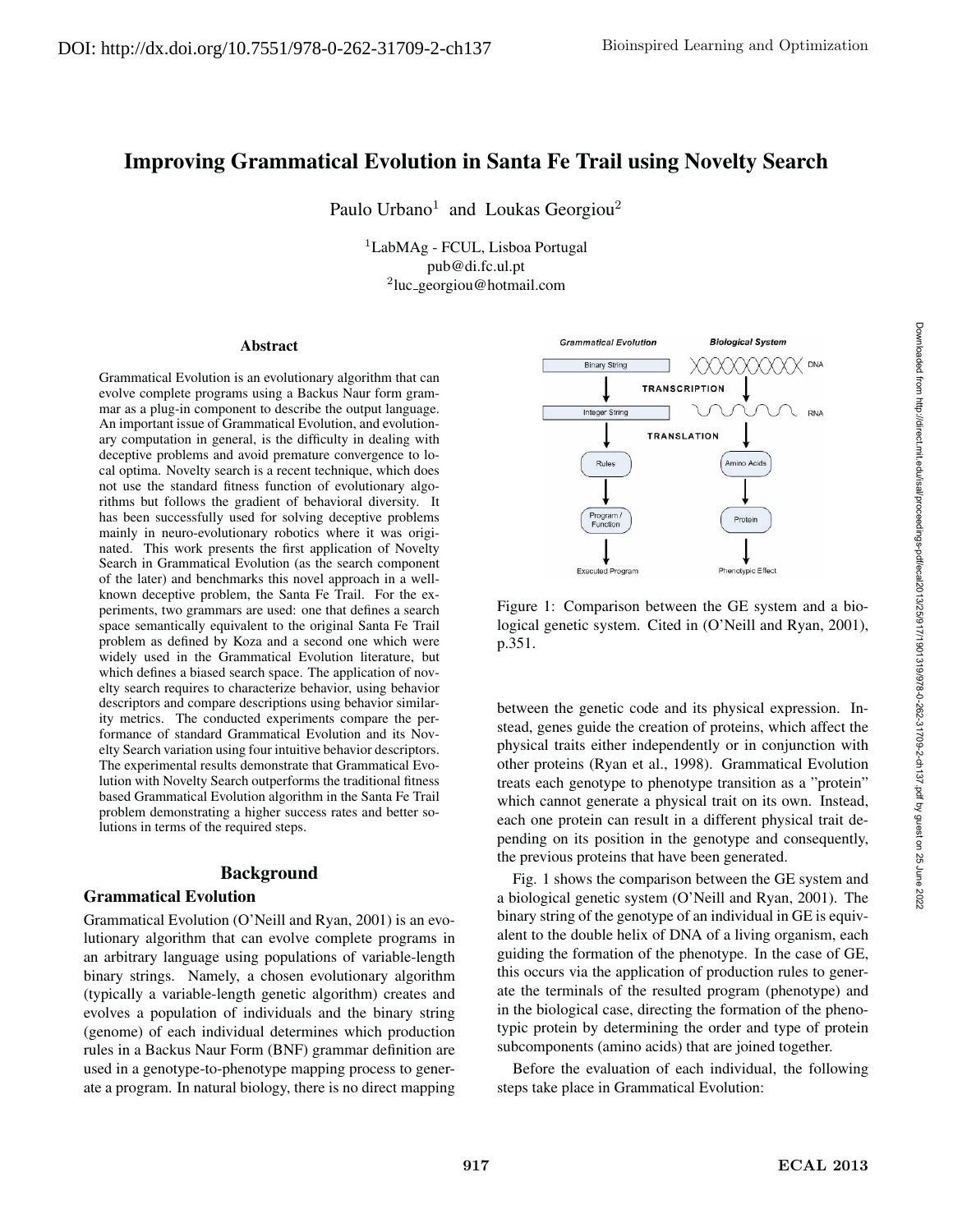# Improving Grammatical Evolution in Santa Fe Trail using Novelty Search

Paulo Urbano<sup>1</sup> and Loukas Georgiou<sup>2</sup>

<sup>1</sup>LabMAg - FCUL, Lisboa Portugal pub@di.fc.ul.pt  $2$ luc\_georgiou@hotmail.com

#### **Abstract**

Grammatical Evolution is an evolutionary algorithm that can evolve complete programs using a Backus Naur form grammar as a plug-in component to describe the output language. An important issue of Grammatical Evolution, and evolutionary computation in general, is the difficulty in dealing with deceptive problems and avoid premature convergence to local optima. Novelty search is a recent technique, which does not use the standard fitness function of evolutionary algorithms but follows the gradient of behavioral diversity. It has been successfully used for solving deceptive problems mainly in neuro-evolutionary robotics where it was originated. This work presents the first application of Novelty Search in Grammatical Evolution (as the search component of the later) and benchmarks this novel approach in a wellknown deceptive problem, the Santa Fe Trail. For the experiments, two grammars are used: one that defines a search space semantically equivalent to the original Santa Fe Trail problem as defined by Koza and a second one which were widely used in the Grammatical Evolution literature, but which defines a biased search space. The application of novelty search requires to characterize behavior, using behavior descriptors and compare descriptions using behavior similarity metrics. The conducted experiments compare the performance of standard Grammatical Evolution and its Novelty Search variation using four intuitive behavior descriptors. The experimental results demonstrate that Grammatical Evolution with Novelty Search outperforms the traditional fitness based Grammatical Evolution algorithm in the Santa Fe Trail problem demonstrating a higher success rates and better solutions in terms of the required steps.

#### Background

#### Grammatical Evolution

Grammatical Evolution (O'Neill and Ryan, 2001) is an evolutionary algorithm that can evolve complete programs in an arbitrary language using populations of variable-length binary strings. Namely, a chosen evolutionary algorithm (typically a variable-length genetic algorithm) creates and evolves a population of individuals and the binary string (genome) of each individual determines which production rules in a Backus Naur Form (BNF) grammar definition are used in a genotype-to-phenotype mapping process to generate a program. In natural biology, there is no direct mapping



Figure 1: Comparison between the GE system and a biological genetic system. Cited in (O'Neill and Ryan, 2001), p.351.

between the genetic code and its physical expression. Instead, genes guide the creation of proteins, which affect the physical traits either independently or in conjunction with other proteins (Ryan et al., 1998). Grammatical Evolution treats each genotype to phenotype transition as a "protein" which cannot generate a physical trait on its own. Instead, each one protein can result in a different physical trait depending on its position in the genotype and consequently, the previous proteins that have been generated.

Fig. 1 shows the comparison between the GE system and a biological genetic system (O'Neill and Ryan, 2001). The binary string of the genotype of an individual in GE is equivalent to the double helix of DNA of a living organism, each guiding the formation of the phenotype. In the case of GE, this occurs via the application of production rules to generate the terminals of the resulted program (phenotype) and in the biological case, directing the formation of the phenotypic protein by determining the order and type of protein subcomponents (amino acids) that are joined together.

Before the evaluation of each individual, the following steps take place in Grammatical Evolution: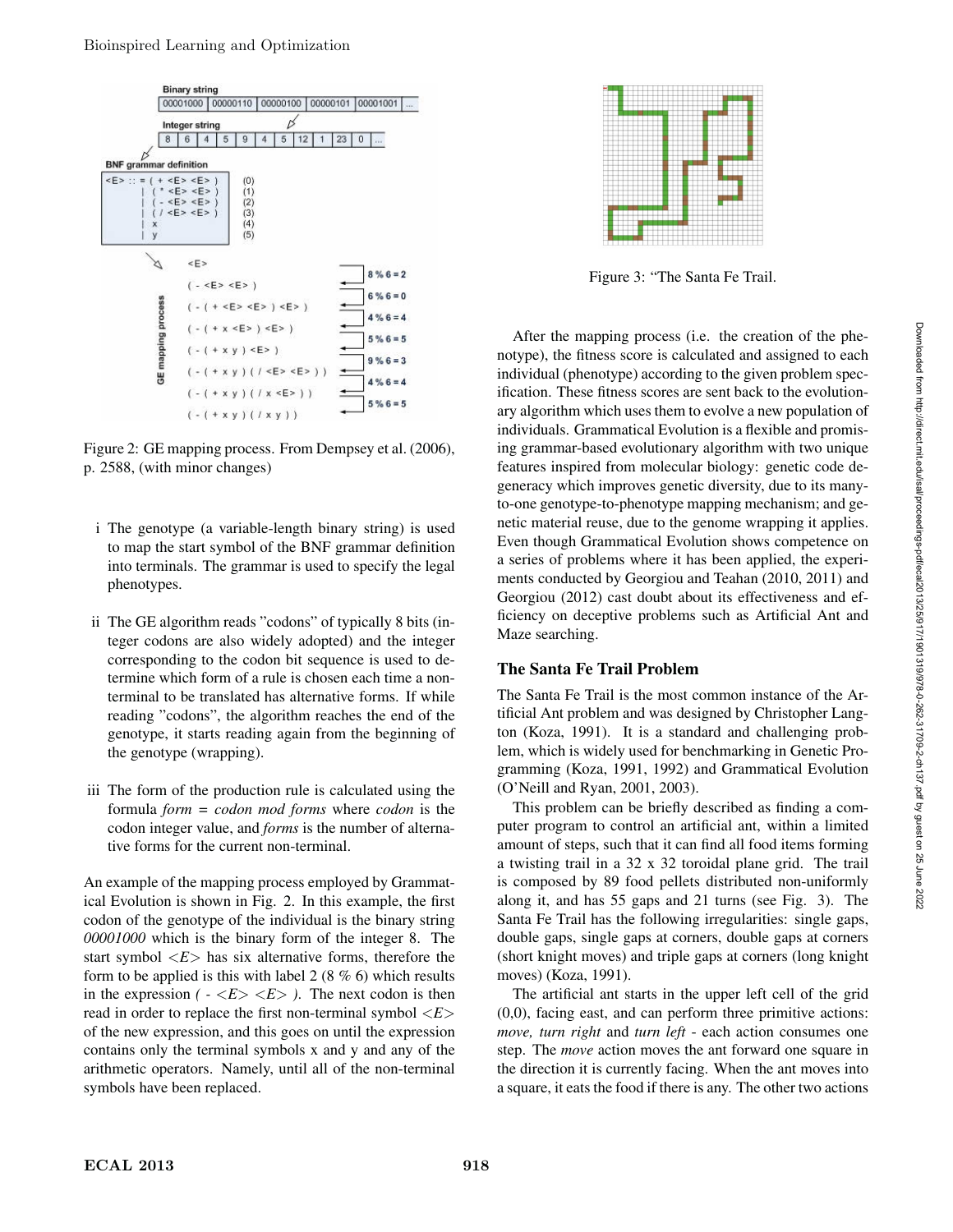

Figure 2: GE mapping process. From Dempsey et al. (2006), p. 2588, (with minor changes)

- i The genotype (a variable-length binary string) is used to map the start symbol of the BNF grammar definition into terminals. The grammar is used to specify the legal phenotypes.
- ii The GE algorithm reads "codons" of typically 8 bits (integer codons are also widely adopted) and the integer corresponding to the codon bit sequence is used to determine which form of a rule is chosen each time a nonterminal to be translated has alternative forms. If while reading "codons", the algorithm reaches the end of the genotype, it starts reading again from the beginning of the genotype (wrapping).
- iii The form of the production rule is calculated using the formula *form = codon mod forms* where *codon* is the codon integer value, and *forms* is the number of alternative forms for the current non-terminal.

An example of the mapping process employed by Grammatical Evolution is shown in Fig. 2. In this example, the first codon of the genotype of the individual is the binary string *00001000* which is the binary form of the integer 8. The start symbol  $\langle E \rangle$  has six alternative forms, therefore the form to be applied is this with label 2 (8 % 6) which results in the expression  $(-\langle E \rangle \langle E \rangle)$ . The next codon is then read in order to replace the first non-terminal symbol <*E*> of the new expression, and this goes on until the expression contains only the terminal symbols x and y and any of the arithmetic operators. Namely, until all of the non-terminal symbols have been replaced.



Figure 3: "The Santa Fe Trail.

After the mapping process (i.e. the creation of the phenotype), the fitness score is calculated and assigned to each individual (phenotype) according to the given problem specification. These fitness scores are sent back to the evolutionary algorithm which uses them to evolve a new population of individuals. Grammatical Evolution is a flexible and promising grammar-based evolutionary algorithm with two unique features inspired from molecular biology: genetic code degeneracy which improves genetic diversity, due to its manyto-one genotype-to-phenotype mapping mechanism; and genetic material reuse, due to the genome wrapping it applies. Even though Grammatical Evolution shows competence on a series of problems where it has been applied, the experiments conducted by Georgiou and Teahan (2010, 2011) and Georgiou (2012) cast doubt about its effectiveness and efficiency on deceptive problems such as Artificial Ant and Maze searching.

# The Santa Fe Trail Problem

The Santa Fe Trail is the most common instance of the Artificial Ant problem and was designed by Christopher Langton (Koza, 1991). It is a standard and challenging problem, which is widely used for benchmarking in Genetic Programming (Koza, 1991, 1992) and Grammatical Evolution (O'Neill and Ryan, 2001, 2003).

This problem can be briefly described as finding a computer program to control an artificial ant, within a limited amount of steps, such that it can find all food items forming a twisting trail in a 32 x 32 toroidal plane grid. The trail is composed by 89 food pellets distributed non-uniformly along it, and has 55 gaps and 21 turns (see Fig. 3). The Santa Fe Trail has the following irregularities: single gaps, double gaps, single gaps at corners, double gaps at corners (short knight moves) and triple gaps at corners (long knight moves) (Koza, 1991).

The artificial ant starts in the upper left cell of the grid (0,0), facing east, and can perform three primitive actions: *move, turn right* and *turn left* - each action consumes one step. The *move* action moves the ant forward one square in the direction it is currently facing. When the ant moves into a square, it eats the food if there is any. The other two actions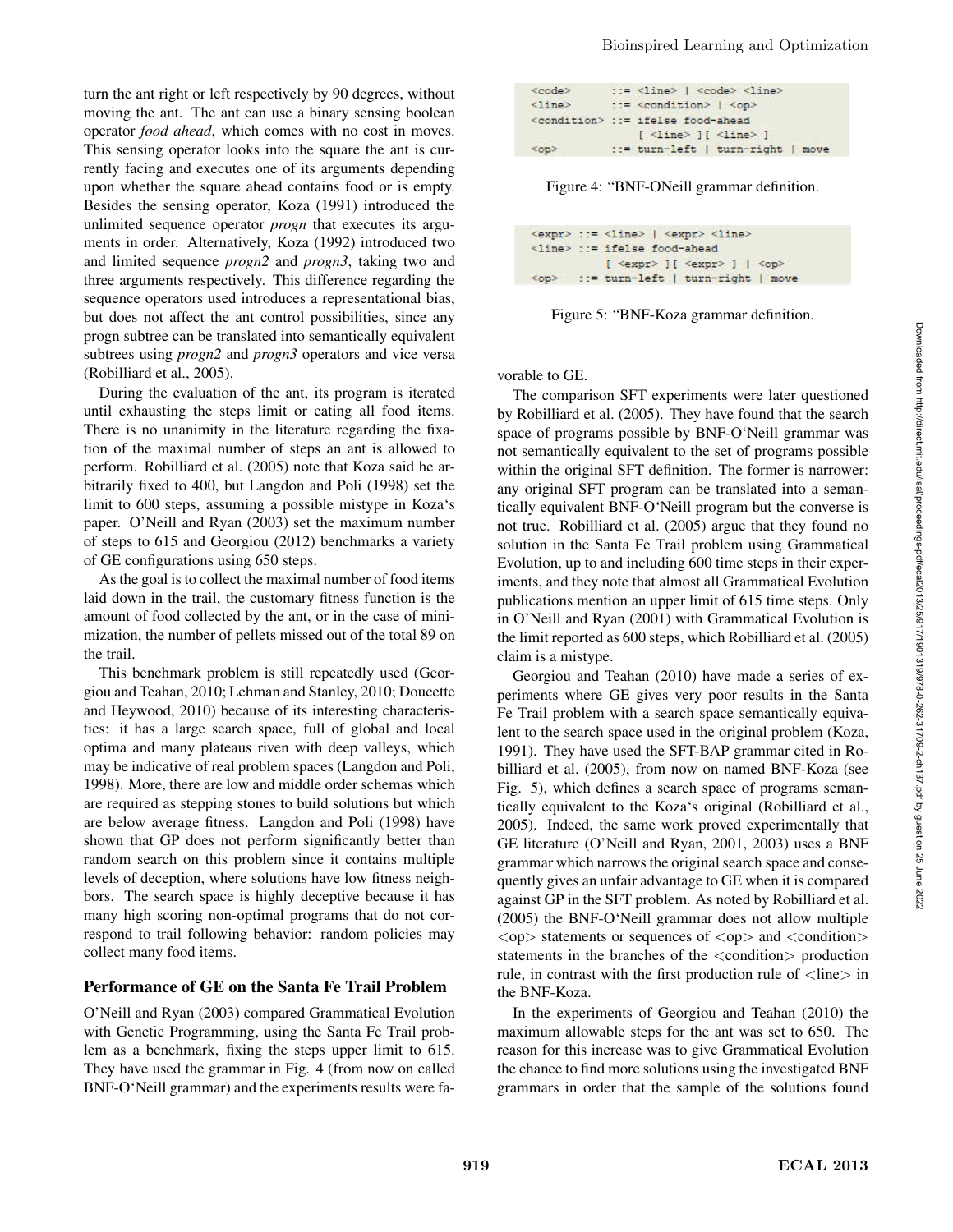turn the ant right or left respectively by 90 degrees, without moving the ant. The ant can use a binary sensing boolean operator *food ahead*, which comes with no cost in moves. This sensing operator looks into the square the ant is currently facing and executes one of its arguments depending upon whether the square ahead contains food or is empty. Besides the sensing operator, Koza (1991) introduced the unlimited sequence operator *progn* that executes its arguments in order. Alternatively, Koza (1992) introduced two and limited sequence *progn2* and *progn3*, taking two and three arguments respectively. This difference regarding the sequence operators used introduces a representational bias, but does not affect the ant control possibilities, since any progn subtree can be translated into semantically equivalent subtrees using *progn2* and *progn3* operators and vice versa (Robilliard et al., 2005).

During the evaluation of the ant, its program is iterated until exhausting the steps limit or eating all food items. There is no unanimity in the literature regarding the fixation of the maximal number of steps an ant is allowed to perform. Robilliard et al. (2005) note that Koza said he arbitrarily fixed to 400, but Langdon and Poli (1998) set the limit to 600 steps, assuming a possible mistype in Koza's paper. O'Neill and Ryan (2003) set the maximum number of steps to 615 and Georgiou (2012) benchmarks a variety of GE configurations using 650 steps.

As the goal is to collect the maximal number of food items laid down in the trail, the customary fitness function is the amount of food collected by the ant, or in the case of minimization, the number of pellets missed out of the total 89 on the trail.

This benchmark problem is still repeatedly used (Georgiou and Teahan, 2010; Lehman and Stanley, 2010; Doucette and Heywood, 2010) because of its interesting characteristics: it has a large search space, full of global and local optima and many plateaus riven with deep valleys, which may be indicative of real problem spaces (Langdon and Poli, 1998). More, there are low and middle order schemas which are required as stepping stones to build solutions but which are below average fitness. Langdon and Poli (1998) have shown that GP does not perform significantly better than random search on this problem since it contains multiple levels of deception, where solutions have low fitness neighbors. The search space is highly deceptive because it has many high scoring non-optimal programs that do not correspond to trail following behavior: random policies may collect many food items.

#### Performance of GE on the Santa Fe Trail Problem

O'Neill and Ryan (2003) compared Grammatical Evolution with Genetic Programming, using the Santa Fe Trail problem as a benchmark, fixing the steps upper limit to 615. They have used the grammar in Fig. 4 (from now on called BNF-O'Neill grammar) and the experiments results were fa-

| <code></code>   | $\Rightarrow$ <line>   <code> <line></line></code></line>                                                          |
|-----------------|--------------------------------------------------------------------------------------------------------------------|
| $\langle$ line> | $\therefore$ = <condition>   <op></op></condition>                                                                 |
|                 | <condition> ::= ifelse food-ahead</condition>                                                                      |
| <op></op>       | $[$ <line> <math>]</math> <math>[</math> <line> <math>]</math><br/>::= turn-left   turn-right   move</line></line> |

Figure 4: "BNF-ONeill grammar definition.

| $\langle$ expr> ::= $\langle$ line>   $\langle$ expr> $\langle$ line>                                 |
|-------------------------------------------------------------------------------------------------------|
| <line> ::= ifelse food-ahead</line>                                                                   |
| $[$ <expr> <math>]</math> <math>[</math> <expr> <math>]</math> <math> </math> <op></op></expr></expr> |
| <op> ::= turn-left   turn-right   move</op>                                                           |

Figure 5: "BNF-Koza grammar definition.

vorable to GE.

The comparison SFT experiments were later questioned by Robilliard et al. (2005). They have found that the search space of programs possible by BNF-O'Neill grammar was not semantically equivalent to the set of programs possible within the original SFT definition. The former is narrower: any original SFT program can be translated into a semantically equivalent BNF-O'Neill program but the converse is not true. Robilliard et al. (2005) argue that they found no solution in the Santa Fe Trail problem using Grammatical Evolution, up to and including 600 time steps in their experiments, and they note that almost all Grammatical Evolution publications mention an upper limit of 615 time steps. Only in O'Neill and Ryan (2001) with Grammatical Evolution is the limit reported as 600 steps, which Robilliard et al. (2005) claim is a mistype.

Georgiou and Teahan (2010) have made a series of experiments where GE gives very poor results in the Santa Fe Trail problem with a search space semantically equivalent to the search space used in the original problem (Koza, 1991). They have used the SFT-BAP grammar cited in Robilliard et al. (2005), from now on named BNF-Koza (see Fig. 5), which defines a search space of programs semantically equivalent to the Koza's original (Robilliard et al., 2005). Indeed, the same work proved experimentally that GE literature (O'Neill and Ryan, 2001, 2003) uses a BNF grammar which narrows the original search space and consequently gives an unfair advantage to GE when it is compared against GP in the SFT problem. As noted by Robilliard et al. (2005) the BNF-O'Neill grammar does not allow multiple  $<$ op $>$  statements or sequences of  $<$ op $>$  and  $<$ condition $>$ statements in the branches of the  $\alpha$  condition production rule, in contrast with the first production rule of  $\langle$ line $\rangle$  in the BNF-Koza.

In the experiments of Georgiou and Teahan (2010) the maximum allowable steps for the ant was set to 650. The reason for this increase was to give Grammatical Evolution the chance to find more solutions using the investigated BNF grammars in order that the sample of the solutions found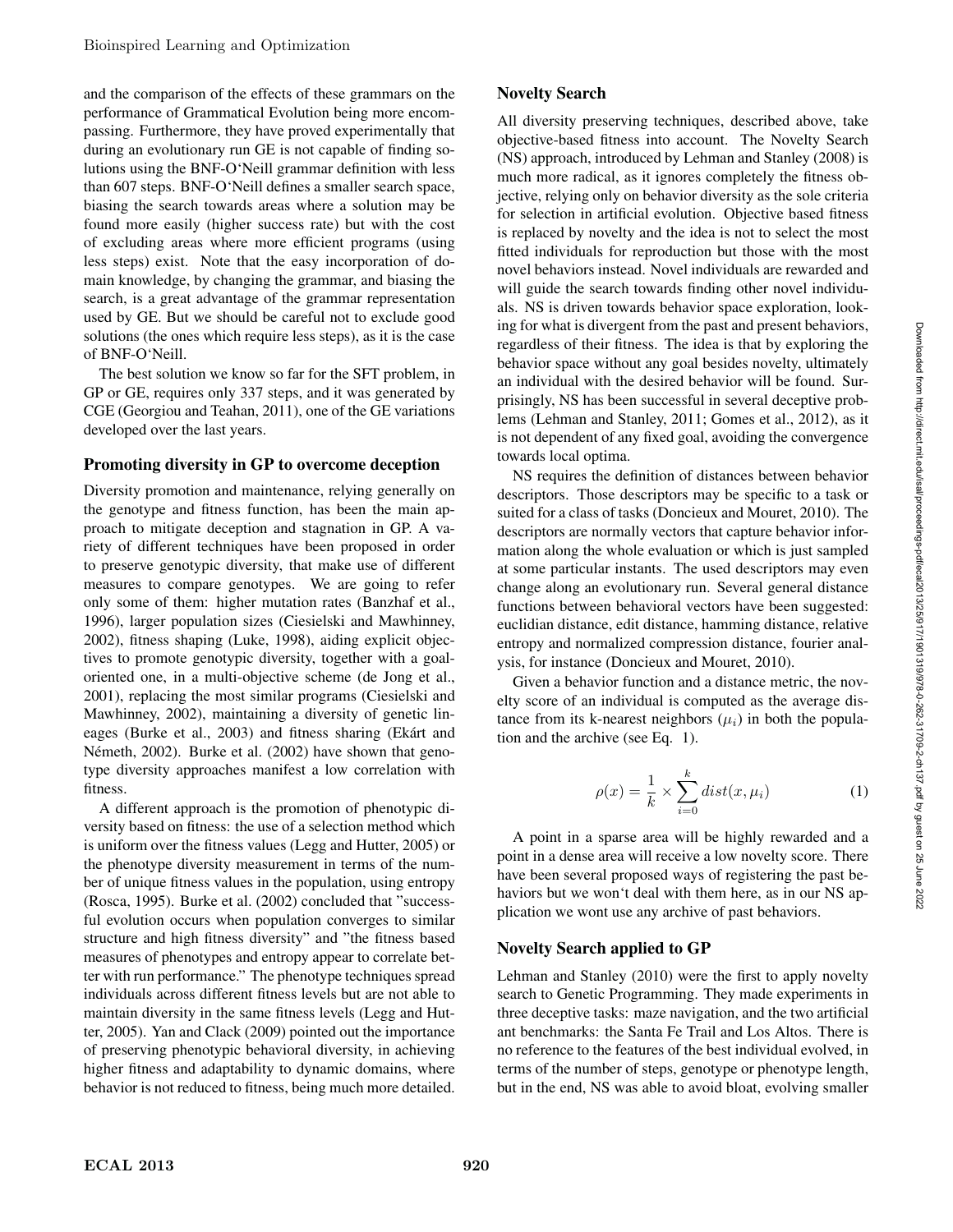and the comparison of the effects of these grammars on the performance of Grammatical Evolution being more encompassing. Furthermore, they have proved experimentally that during an evolutionary run GE is not capable of finding solutions using the BNF-O'Neill grammar definition with less than 607 steps. BNF-O'Neill defines a smaller search space, biasing the search towards areas where a solution may be found more easily (higher success rate) but with the cost of excluding areas where more efficient programs (using less steps) exist. Note that the easy incorporation of domain knowledge, by changing the grammar, and biasing the search, is a great advantage of the grammar representation used by GE. But we should be careful not to exclude good solutions (the ones which require less steps), as it is the case of BNF-O'Neill.

The best solution we know so far for the SFT problem, in GP or GE, requires only 337 steps, and it was generated by CGE (Georgiou and Teahan, 2011), one of the GE variations developed over the last years.

#### Promoting diversity in GP to overcome deception

Diversity promotion and maintenance, relying generally on the genotype and fitness function, has been the main approach to mitigate deception and stagnation in GP. A variety of different techniques have been proposed in order to preserve genotypic diversity, that make use of different measures to compare genotypes. We are going to refer only some of them: higher mutation rates (Banzhaf et al., 1996), larger population sizes (Ciesielski and Mawhinney, 2002), fitness shaping (Luke, 1998), aiding explicit objectives to promote genotypic diversity, together with a goaloriented one, in a multi-objective scheme (de Jong et al., 2001), replacing the most similar programs (Ciesielski and Mawhinney, 2002), maintaining a diversity of genetic lineages (Burke et al., 2003) and fitness sharing (Ekárt and Németh, 2002). Burke et al. (2002) have shown that genotype diversity approaches manifest a low correlation with fitness.

A different approach is the promotion of phenotypic diversity based on fitness: the use of a selection method which is uniform over the fitness values (Legg and Hutter, 2005) or the phenotype diversity measurement in terms of the number of unique fitness values in the population, using entropy (Rosca, 1995). Burke et al. (2002) concluded that "successful evolution occurs when population converges to similar structure and high fitness diversity" and "the fitness based measures of phenotypes and entropy appear to correlate better with run performance." The phenotype techniques spread individuals across different fitness levels but are not able to maintain diversity in the same fitness levels (Legg and Hutter, 2005). Yan and Clack (2009) pointed out the importance of preserving phenotypic behavioral diversity, in achieving higher fitness and adaptability to dynamic domains, where behavior is not reduced to fitness, being much more detailed.

# Novelty Search

All diversity preserving techniques, described above, take objective-based fitness into account. The Novelty Search (NS) approach, introduced by Lehman and Stanley (2008) is much more radical, as it ignores completely the fitness objective, relying only on behavior diversity as the sole criteria for selection in artificial evolution. Objective based fitness is replaced by novelty and the idea is not to select the most fitted individuals for reproduction but those with the most novel behaviors instead. Novel individuals are rewarded and will guide the search towards finding other novel individuals. NS is driven towards behavior space exploration, looking for what is divergent from the past and present behaviors, regardless of their fitness. The idea is that by exploring the behavior space without any goal besides novelty, ultimately an individual with the desired behavior will be found. Surprisingly, NS has been successful in several deceptive problems (Lehman and Stanley, 2011; Gomes et al., 2012), as it is not dependent of any fixed goal, avoiding the convergence towards local optima.

NS requires the definition of distances between behavior descriptors. Those descriptors may be specific to a task or suited for a class of tasks (Doncieux and Mouret, 2010). The descriptors are normally vectors that capture behavior information along the whole evaluation or which is just sampled at some particular instants. The used descriptors may even change along an evolutionary run. Several general distance functions between behavioral vectors have been suggested: euclidian distance, edit distance, hamming distance, relative entropy and normalized compression distance, fourier analysis, for instance (Doncieux and Mouret, 2010).

Given a behavior function and a distance metric, the novelty score of an individual is computed as the average distance from its k-nearest neighbors  $(\mu_i)$  in both the population and the archive (see Eq. 1).

$$
\rho(x) = \frac{1}{k} \times \sum_{i=0}^{k} dist(x, \mu_i)
$$
 (1)

A point in a sparse area will be highly rewarded and a point in a dense area will receive a low novelty score. There have been several proposed ways of registering the past behaviors but we won't deal with them here, as in our NS application we wont use any archive of past behaviors.

# Novelty Search applied to GP

Lehman and Stanley (2010) were the first to apply novelty search to Genetic Programming. They made experiments in three deceptive tasks: maze navigation, and the two artificial ant benchmarks: the Santa Fe Trail and Los Altos. There is no reference to the features of the best individual evolved, in terms of the number of steps, genotype or phenotype length, but in the end, NS was able to avoid bloat, evolving smaller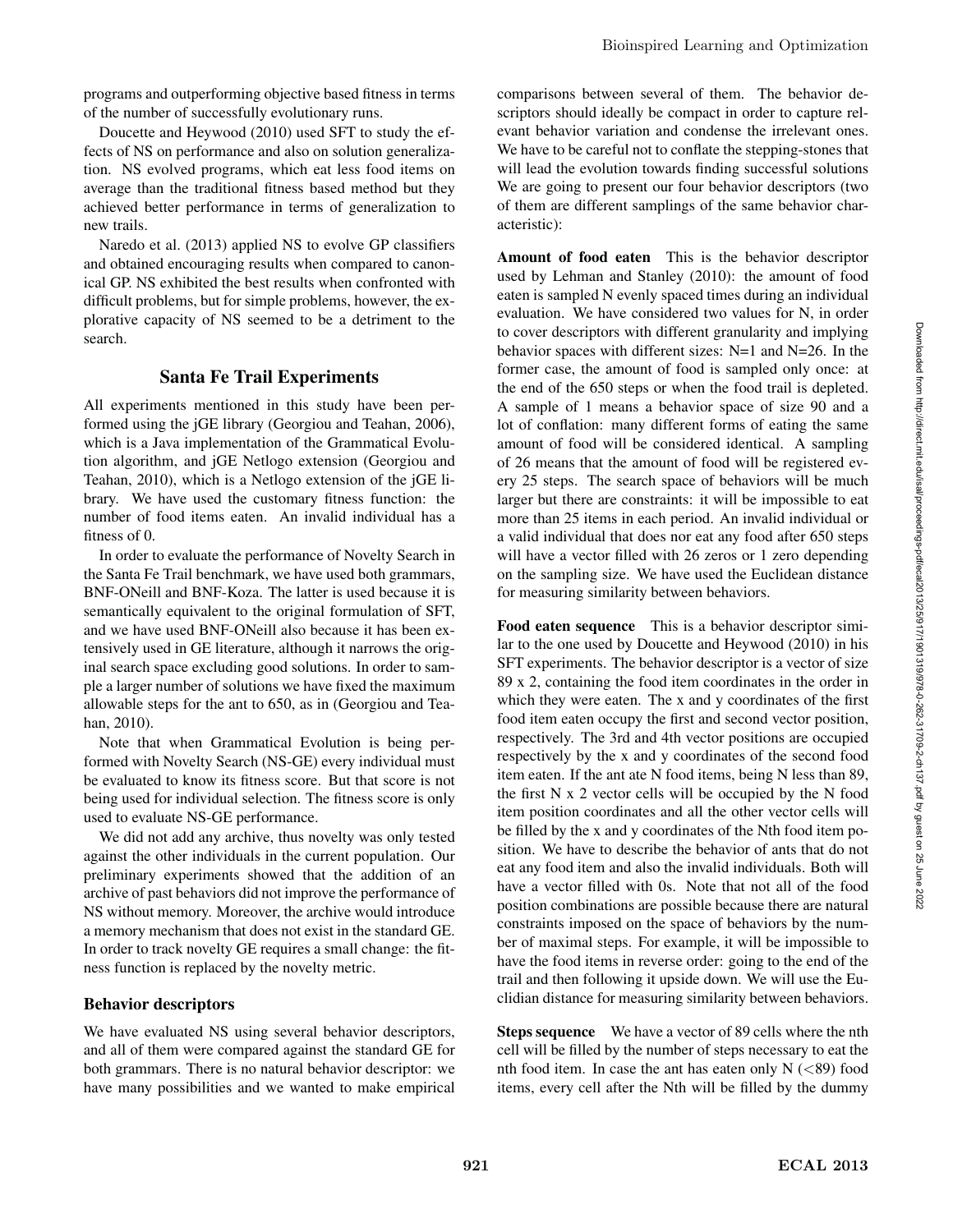programs and outperforming objective based fitness in terms of the number of successfully evolutionary runs.

Doucette and Heywood (2010) used SFT to study the effects of NS on performance and also on solution generalization. NS evolved programs, which eat less food items on average than the traditional fitness based method but they achieved better performance in terms of generalization to new trails.

Naredo et al. (2013) applied NS to evolve GP classifiers and obtained encouraging results when compared to canonical GP. NS exhibited the best results when confronted with difficult problems, but for simple problems, however, the explorative capacity of NS seemed to be a detriment to the search.

# Santa Fe Trail Experiments

All experiments mentioned in this study have been performed using the jGE library (Georgiou and Teahan, 2006), which is a Java implementation of the Grammatical Evolution algorithm, and jGE Netlogo extension (Georgiou and Teahan, 2010), which is a Netlogo extension of the jGE library. We have used the customary fitness function: the number of food items eaten. An invalid individual has a fitness of 0.

In order to evaluate the performance of Novelty Search in the Santa Fe Trail benchmark, we have used both grammars, BNF-ONeill and BNF-Koza. The latter is used because it is semantically equivalent to the original formulation of SFT, and we have used BNF-ONeill also because it has been extensively used in GE literature, although it narrows the original search space excluding good solutions. In order to sample a larger number of solutions we have fixed the maximum allowable steps for the ant to 650, as in (Georgiou and Teahan, 2010).

Note that when Grammatical Evolution is being performed with Novelty Search (NS-GE) every individual must be evaluated to know its fitness score. But that score is not being used for individual selection. The fitness score is only used to evaluate NS-GE performance.

We did not add any archive, thus novelty was only tested against the other individuals in the current population. Our preliminary experiments showed that the addition of an archive of past behaviors did not improve the performance of NS without memory. Moreover, the archive would introduce a memory mechanism that does not exist in the standard GE. In order to track novelty GE requires a small change: the fitness function is replaced by the novelty metric.

# Behavior descriptors

We have evaluated NS using several behavior descriptors, and all of them were compared against the standard GE for both grammars. There is no natural behavior descriptor: we have many possibilities and we wanted to make empirical comparisons between several of them. The behavior descriptors should ideally be compact in order to capture relevant behavior variation and condense the irrelevant ones. We have to be careful not to conflate the stepping-stones that will lead the evolution towards finding successful solutions We are going to present our four behavior descriptors (two of them are different samplings of the same behavior characteristic):

Amount of food eaten This is the behavior descriptor used by Lehman and Stanley (2010): the amount of food eaten is sampled N evenly spaced times during an individual evaluation. We have considered two values for N, in order to cover descriptors with different granularity and implying behavior spaces with different sizes: N=1 and N=26. In the former case, the amount of food is sampled only once: at the end of the 650 steps or when the food trail is depleted. A sample of 1 means a behavior space of size 90 and a lot of conflation: many different forms of eating the same amount of food will be considered identical. A sampling of 26 means that the amount of food will be registered every 25 steps. The search space of behaviors will be much larger but there are constraints: it will be impossible to eat more than 25 items in each period. An invalid individual or a valid individual that does nor eat any food after 650 steps will have a vector filled with 26 zeros or 1 zero depending on the sampling size. We have used the Euclidean distance for measuring similarity between behaviors.

Food eaten sequence This is a behavior descriptor similar to the one used by Doucette and Heywood (2010) in his SFT experiments. The behavior descriptor is a vector of size 89 x 2, containing the food item coordinates in the order in which they were eaten. The x and y coordinates of the first food item eaten occupy the first and second vector position, respectively. The 3rd and 4th vector positions are occupied respectively by the x and y coordinates of the second food item eaten. If the ant ate N food items, being N less than 89, the first N x 2 vector cells will be occupied by the N food item position coordinates and all the other vector cells will be filled by the x and y coordinates of the Nth food item position. We have to describe the behavior of ants that do not eat any food item and also the invalid individuals. Both will have a vector filled with 0s. Note that not all of the food position combinations are possible because there are natural constraints imposed on the space of behaviors by the number of maximal steps. For example, it will be impossible to have the food items in reverse order: going to the end of the trail and then following it upside down. We will use the Euclidian distance for measuring similarity between behaviors.

Steps sequence We have a vector of 89 cells where the nth cell will be filled by the number of steps necessary to eat the nth food item. In case the ant has eaten only  $N$  ( $\lt 89$ ) food items, every cell after the Nth will be filled by the dummy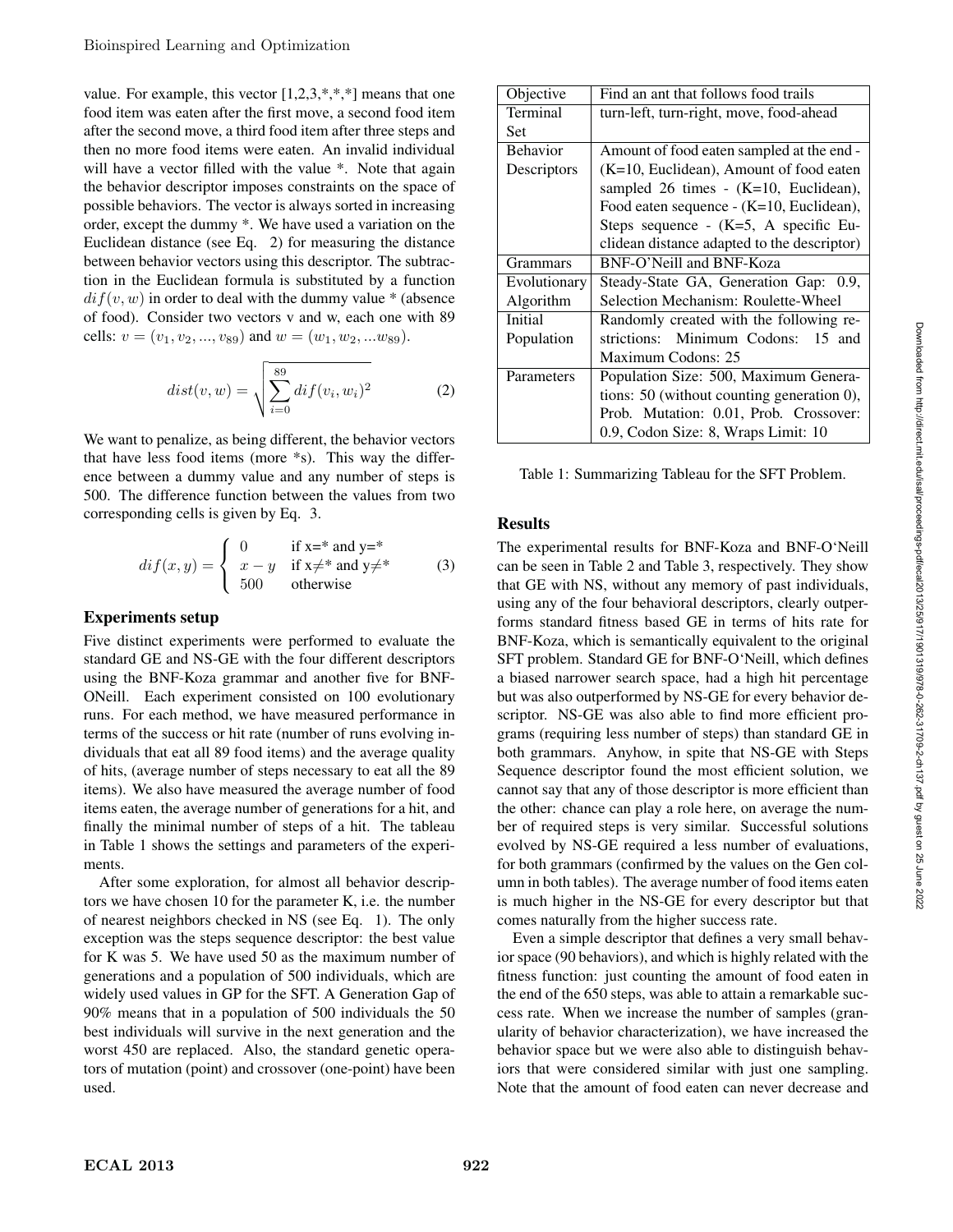value. For example, this vector  $[1,2,3,*,*,*]$  means that one food item was eaten after the first move, a second food item after the second move, a third food item after three steps and then no more food items were eaten. An invalid individual will have a vector filled with the value  $*$ . Note that again the behavior descriptor imposes constraints on the space of possible behaviors. The vector is always sorted in increasing order, except the dummy \*. We have used a variation on the Euclidean distance (see Eq. 2) for measuring the distance between behavior vectors using this descriptor. The subtraction in the Euclidean formula is substituted by a function  $diff(v, w)$  in order to deal with the dummy value  $*$  (absence of food). Consider two vectors v and w, each one with 89 cells:  $v = (v_1, v_2, ..., v_{89})$  and  $w = (w_1, w_2, ... w_{89})$ .

$$
dist(v, w) = \sqrt{\sum_{i=0}^{89} dif(v_i, w_i)^2}
$$
 (2)

We want to penalize, as being different, the behavior vectors that have less food items (more \*s). This way the difference between a dummy value and any number of steps is 500. The difference function between the values from two corresponding cells is given by Eq. 3.

$$
dif(x,y) = \begin{cases} 0 & \text{if } x =^* \text{ and } y =^* \\ x - y & \text{if } x \neq^* \text{ and } y \neq^* \\ 500 & \text{otherwise} \end{cases}
$$
 (3)

#### Experiments setup

Five distinct experiments were performed to evaluate the standard GE and NS-GE with the four different descriptors using the BNF-Koza grammar and another five for BNF-ONeill. Each experiment consisted on 100 evolutionary runs. For each method, we have measured performance in terms of the success or hit rate (number of runs evolving individuals that eat all 89 food items) and the average quality of hits, (average number of steps necessary to eat all the 89 items). We also have measured the average number of food items eaten, the average number of generations for a hit, and finally the minimal number of steps of a hit. The tableau in Table 1 shows the settings and parameters of the experiments.

After some exploration, for almost all behavior descriptors we have chosen 10 for the parameter K, i.e. the number of nearest neighbors checked in NS (see Eq. 1). The only exception was the steps sequence descriptor: the best value for K was 5. We have used 50 as the maximum number of generations and a population of 500 individuals, which are widely used values in GP for the SFT. A Generation Gap of 90% means that in a population of 500 individuals the 50 best individuals will survive in the next generation and the worst 450 are replaced. Also, the standard genetic operators of mutation (point) and crossover (one-point) have been used.

| Objective       | Find an ant that follows food trails         |
|-----------------|----------------------------------------------|
| Terminal        | turn-left, turn-right, move, food-ahead      |
| Set             |                                              |
| <b>Behavior</b> | Amount of food eaten sampled at the end -    |
| Descriptors     | $(K=10, Euclidean)$ , Amount of food eaten   |
|                 | sampled 26 times - $(K=10,$ Euclidean),      |
|                 | Food eaten sequence - (K=10, Euclidean),     |
|                 | Steps sequence - $(K=5, A$ specific Eu-      |
|                 | clidean distance adapted to the descriptor)  |
| <b>Grammars</b> | BNF-O'Neill and BNF-Koza                     |
| Evolutionary    | Steady-State GA, Generation Gap: 0.9,        |
| Algorithm       | Selection Mechanism: Roulette-Wheel          |
| Initial         | Randomly created with the following re-      |
| Population      | strictions: Minimum Codons:<br>$15$ and      |
|                 | Maximum Codons: 25                           |
| Parameters      | Population Size: 500, Maximum Genera-        |
|                 | tions: $50$ (without counting generation 0), |
|                 | Prob. Mutation: 0.01, Prob. Crossover:       |
|                 | 0.9, Codon Size: 8, Wraps Limit: 10          |

Table 1: Summarizing Tableau for the SFT Problem.

#### Results

The experimental results for BNF-Koza and BNF-O'Neill can be seen in Table 2 and Table 3, respectively. They show that GE with NS, without any memory of past individuals, using any of the four behavioral descriptors, clearly outperforms standard fitness based GE in terms of hits rate for BNF-Koza, which is semantically equivalent to the original SFT problem. Standard GE for BNF-O'Neill, which defines a biased narrower search space, had a high hit percentage but was also outperformed by NS-GE for every behavior descriptor. NS-GE was also able to find more efficient programs (requiring less number of steps) than standard GE in both grammars. Anyhow, in spite that NS-GE with Steps Sequence descriptor found the most efficient solution, we cannot say that any of those descriptor is more efficient than the other: chance can play a role here, on average the number of required steps is very similar. Successful solutions evolved by NS-GE required a less number of evaluations, for both grammars (confirmed by the values on the Gen column in both tables). The average number of food items eaten is much higher in the NS-GE for every descriptor but that comes naturally from the higher success rate.

Even a simple descriptor that defines a very small behavior space (90 behaviors), and which is highly related with the fitness function: just counting the amount of food eaten in the end of the 650 steps, was able to attain a remarkable success rate. When we increase the number of samples (granularity of behavior characterization), we have increased the behavior space but we were also able to distinguish behaviors that were considered similar with just one sampling. Note that the amount of food eaten can never decrease and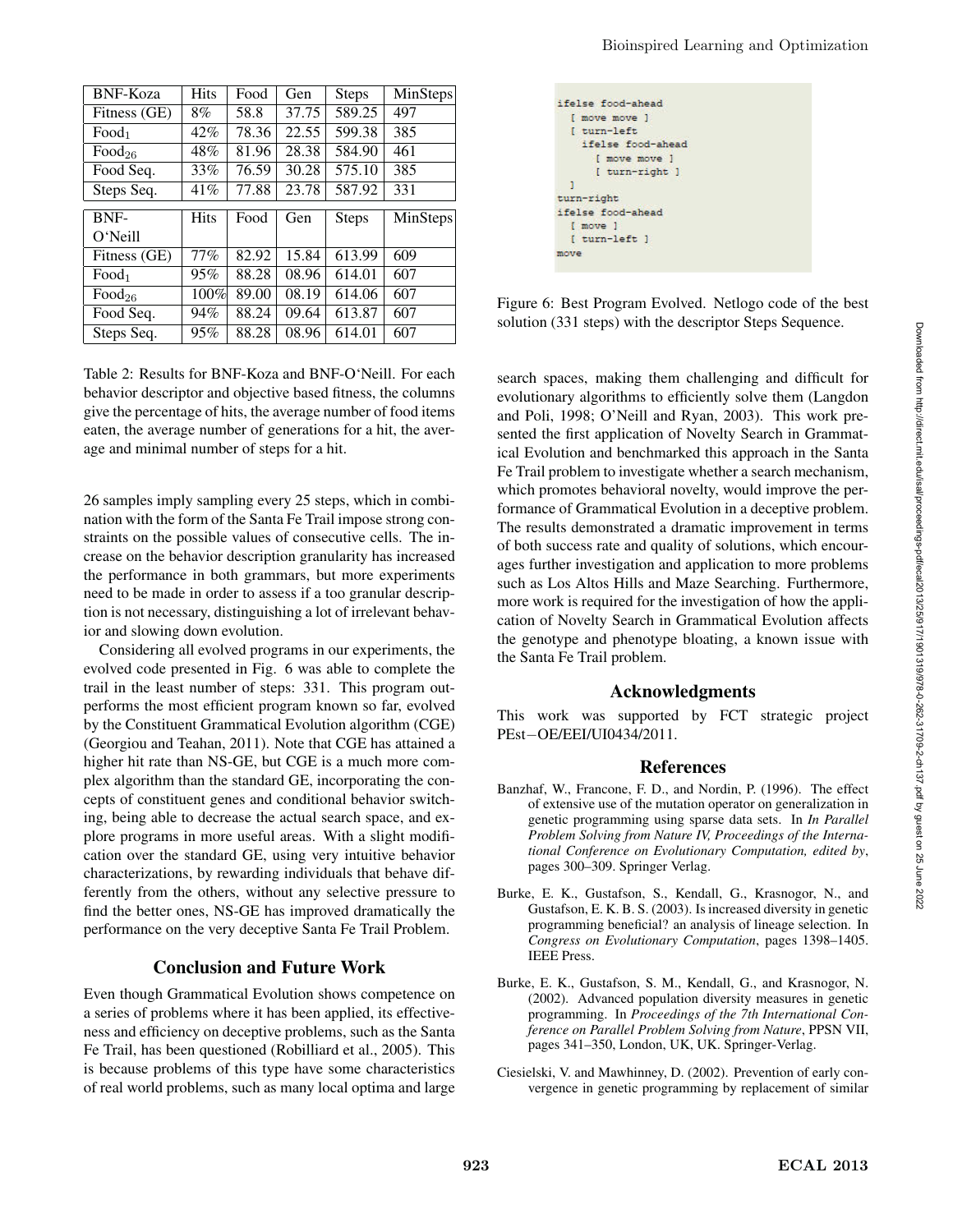| <b>BNF-Koza</b>    | <b>Hits</b> | Food  | Gen   | <b>Steps</b> | MinSteps |
|--------------------|-------------|-------|-------|--------------|----------|
| Fitness (GE)       | 8%          | 58.8  | 37.75 | 589.25       | 497      |
| Food <sub>1</sub>  | 42%         | 78.36 | 22.55 | 599.38       | 385      |
| Food <sub>26</sub> | 48%         | 81.96 | 28.38 | 584.90       | 461      |
| Food Seq.          | 33%         | 76.59 | 30.28 | 575.10       | 385      |
| Steps Seq.         | 41%         | 77.88 | 23.78 | 587.92       | 331      |
|                    |             |       |       |              |          |
|                    |             |       |       |              |          |
| BNF-               | <b>Hits</b> | Food  | Gen   | <b>Steps</b> | MinSteps |
| O'Neill            |             |       |       |              |          |
| Fitness (GE)       | 77%         | 82.92 | 15.84 | 613.99       | 609      |
| Food <sub>1</sub>  | 95%         | 88.28 | 08.96 | 614.01       | 607      |
| Food <sub>26</sub> | 100%        | 89.00 | 08.19 | 614.06       | 607      |
| Food Seq.          | 94%         | 88.24 | 09.64 | 613.87       | 607      |

Table 2: Results for BNF-Koza and BNF-O'Neill. For each behavior descriptor and objective based fitness, the columns give the percentage of hits, the average number of food items eaten, the average number of generations for a hit, the average and minimal number of steps for a hit.

26 samples imply sampling every 25 steps, which in combination with the form of the Santa Fe Trail impose strong constraints on the possible values of consecutive cells. The increase on the behavior description granularity has increased the performance in both grammars, but more experiments need to be made in order to assess if a too granular description is not necessary, distinguishing a lot of irrelevant behavior and slowing down evolution.

Considering all evolved programs in our experiments, the evolved code presented in Fig. 6 was able to complete the trail in the least number of steps: 331. This program outperforms the most efficient program known so far, evolved by the Constituent Grammatical Evolution algorithm (CGE) (Georgiou and Teahan, 2011). Note that CGE has attained a higher hit rate than NS-GE, but CGE is a much more complex algorithm than the standard GE, incorporating the concepts of constituent genes and conditional behavior switching, being able to decrease the actual search space, and explore programs in more useful areas. With a slight modification over the standard GE, using very intuitive behavior characterizations, by rewarding individuals that behave differently from the others, without any selective pressure to find the better ones, NS-GE has improved dramatically the performance on the very deceptive Santa Fe Trail Problem.

# Conclusion and Future Work

Even though Grammatical Evolution shows competence on a series of problems where it has been applied, its effectiveness and efficiency on deceptive problems, such as the Santa Fe Trail, has been questioned (Robilliard et al., 2005). This is because problems of this type have some characteristics of real world problems, such as many local optima and large

|      | ifelse food-ahead |  |
|------|-------------------|--|
|      | [ move move ]     |  |
|      | f turn-left       |  |
|      | ifelse food-ahead |  |
|      | [ move move ]     |  |
|      | [ turn-right ]    |  |
| л    |                   |  |
|      | turn-right        |  |
|      | ifelse food-ahead |  |
|      | I move I          |  |
|      | [ turn-left ]     |  |
| move |                   |  |

Figure 6: Best Program Evolved. Netlogo code of the best solution (331 steps) with the descriptor Steps Sequence.

search spaces, making them challenging and difficult for evolutionary algorithms to efficiently solve them (Langdon and Poli, 1998; O'Neill and Ryan, 2003). This work presented the first application of Novelty Search in Grammatical Evolution and benchmarked this approach in the Santa Fe Trail problem to investigate whether a search mechanism, which promotes behavioral novelty, would improve the performance of Grammatical Evolution in a deceptive problem. The results demonstrated a dramatic improvement in terms of both success rate and quality of solutions, which encourages further investigation and application to more problems such as Los Altos Hills and Maze Searching. Furthermore, more work is required for the investigation of how the application of Novelty Search in Grammatical Evolution affects the genotype and phenotype bloating, a known issue with the Santa Fe Trail problem.

# Acknowledgments

This work was supported by FCT strategic project PEst−OE/EEI/UI0434/2011.

# References

- Banzhaf, W., Francone, F. D., and Nordin, P. (1996). The effect of extensive use of the mutation operator on generalization in genetic programming using sparse data sets. In *In Parallel Problem Solving from Nature IV, Proceedings of the International Conference on Evolutionary Computation, edited by*, pages 300–309. Springer Verlag.
- Burke, E. K., Gustafson, S., Kendall, G., Krasnogor, N., and Gustafson, E. K. B. S. (2003). Is increased diversity in genetic programming beneficial? an analysis of lineage selection. In *Congress on Evolutionary Computation*, pages 1398–1405. IEEE Press.
- Burke, E. K., Gustafson, S. M., Kendall, G., and Krasnogor, N. (2002). Advanced population diversity measures in genetic programming. In *Proceedings of the 7th International Conference on Parallel Problem Solving from Nature*, PPSN VII, pages 341–350, London, UK, UK. Springer-Verlag.
- Ciesielski, V. and Mawhinney, D. (2002). Prevention of early convergence in genetic programming by replacement of similar